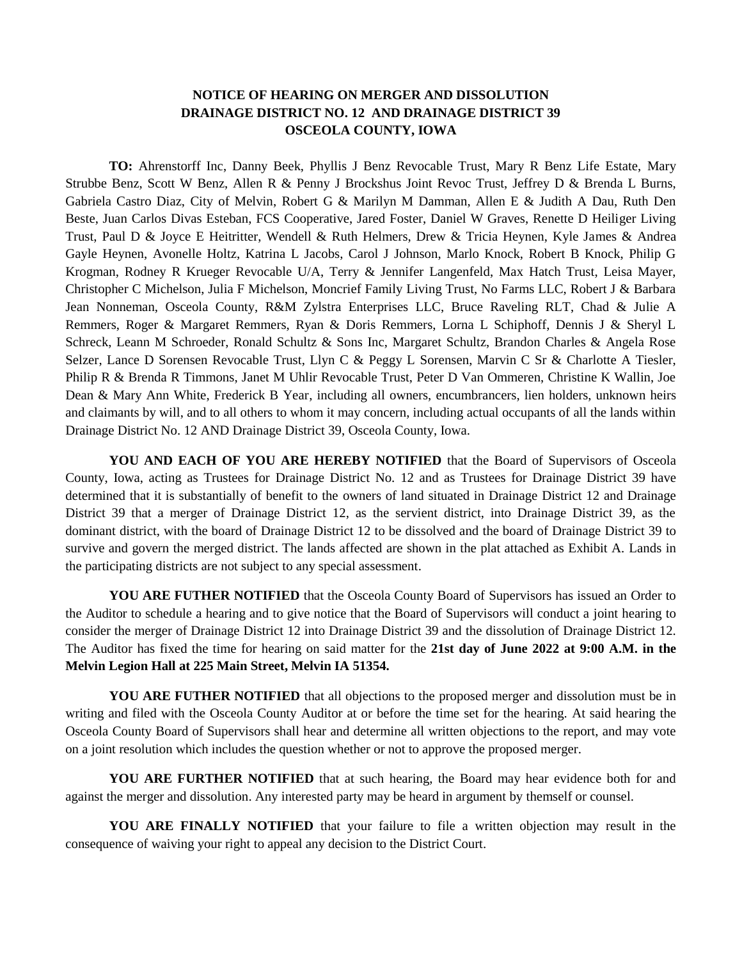## **NOTICE OF HEARING ON MERGER AND DISSOLUTION DRAINAGE DISTRICT NO. 12 AND DRAINAGE DISTRICT 39 OSCEOLA COUNTY, IOWA**

**TO:** Ahrenstorff Inc, Danny Beek, Phyllis J Benz Revocable Trust, Mary R Benz Life Estate, Mary Strubbe Benz, Scott W Benz, Allen R & Penny J Brockshus Joint Revoc Trust, Jeffrey D & Brenda L Burns, Gabriela Castro Diaz, City of Melvin, Robert G & Marilyn M Damman, Allen E & Judith A Dau, Ruth Den Beste, Juan Carlos Divas Esteban, FCS Cooperative, Jared Foster, Daniel W Graves, Renette D Heiliger Living Trust, Paul D & Joyce E Heitritter, Wendell & Ruth Helmers, Drew & Tricia Heynen, Kyle James & Andrea Gayle Heynen, Avonelle Holtz, Katrina L Jacobs, Carol J Johnson, Marlo Knock, Robert B Knock, Philip G Krogman, Rodney R Krueger Revocable U/A, Terry & Jennifer Langenfeld, Max Hatch Trust, Leisa Mayer, Christopher C Michelson, Julia F Michelson, Moncrief Family Living Trust, No Farms LLC, Robert J & Barbara Jean Nonneman, Osceola County, R&M Zylstra Enterprises LLC, Bruce Raveling RLT, Chad & Julie A Remmers, Roger & Margaret Remmers, Ryan & Doris Remmers, Lorna L Schiphoff, Dennis J & Sheryl L Schreck, Leann M Schroeder, Ronald Schultz & Sons Inc, Margaret Schultz, Brandon Charles & Angela Rose Selzer, Lance D Sorensen Revocable Trust, Llyn C & Peggy L Sorensen, Marvin C Sr & Charlotte A Tiesler, Philip R & Brenda R Timmons, Janet M Uhlir Revocable Trust, Peter D Van Ommeren, Christine K Wallin, Joe Dean & Mary Ann White, Frederick B Year, including all owners, encumbrancers, lien holders, unknown heirs and claimants by will, and to all others to whom it may concern, including actual occupants of all the lands within Drainage District No. 12 AND Drainage District 39, Osceola County, Iowa.

**YOU AND EACH OF YOU ARE HEREBY NOTIFIED** that the Board of Supervisors of Osceola County, Iowa, acting as Trustees for Drainage District No. 12 and as Trustees for Drainage District 39 have determined that it is substantially of benefit to the owners of land situated in Drainage District 12 and Drainage District 39 that a merger of Drainage District 12, as the servient district, into Drainage District 39, as the dominant district, with the board of Drainage District 12 to be dissolved and the board of Drainage District 39 to survive and govern the merged district. The lands affected are shown in the plat attached as Exhibit A. Lands in the participating districts are not subject to any special assessment.

**YOU ARE FUTHER NOTIFIED** that the Osceola County Board of Supervisors has issued an Order to the Auditor to schedule a hearing and to give notice that the Board of Supervisors will conduct a joint hearing to consider the merger of Drainage District 12 into Drainage District 39 and the dissolution of Drainage District 12. The Auditor has fixed the time for hearing on said matter for the **21st day of June 2022 at 9:00 A.M. in the Melvin Legion Hall at 225 Main Street, Melvin IA 51354.**

**YOU ARE FUTHER NOTIFIED** that all objections to the proposed merger and dissolution must be in writing and filed with the Osceola County Auditor at or before the time set for the hearing. At said hearing the Osceola County Board of Supervisors shall hear and determine all written objections to the report, and may vote on a joint resolution which includes the question whether or not to approve the proposed merger.

YOU ARE FURTHER NOTIFIED that at such hearing, the Board may hear evidence both for and against the merger and dissolution. Any interested party may be heard in argument by themself or counsel.

**YOU ARE FINALLY NOTIFIED** that your failure to file a written objection may result in the consequence of waiving your right to appeal any decision to the District Court.